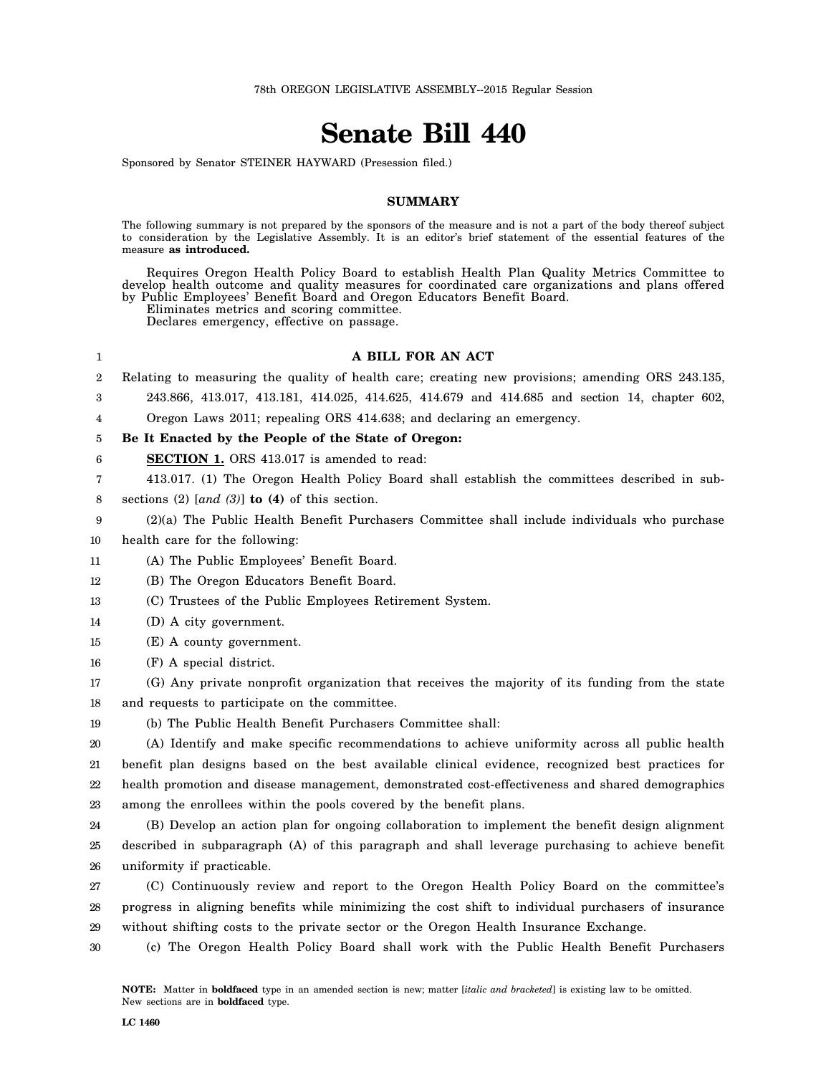## **Senate Bill 440**

Sponsored by Senator STEINER HAYWARD (Presession filed.)

## **SUMMARY**

The following summary is not prepared by the sponsors of the measure and is not a part of the body thereof subject to consideration by the Legislative Assembly. It is an editor's brief statement of the essential features of the measure **as introduced.**

Requires Oregon Health Policy Board to establish Health Plan Quality Metrics Committee to develop health outcome and quality measures for coordinated care organizations and plans offered by Public Employees' Benefit Board and Oregon Educators Benefit Board.

Eliminates metrics and scoring committee.

Declares emergency, effective on passage.

## **A BILL FOR AN ACT**

- 2 Relating to measuring the quality of health care; creating new provisions; amending ORS 243.135,
	- 243.866, 413.017, 413.181, 414.025, 414.625, 414.679 and 414.685 and section 14, chapter 602,

4 Oregon Laws 2011; repealing ORS 414.638; and declaring an emergency.

## 5 **Be It Enacted by the People of the State of Oregon:**

6 **SECTION 1.** ORS 413.017 is amended to read:

- 7 413.017. (1) The Oregon Health Policy Board shall establish the committees described in sub-
- 8 sections (2) [*and (3)*] **to (4)** of this section.
- 9 (2)(a) The Public Health Benefit Purchasers Committee shall include individuals who purchase

10 health care for the following:

1

3

- 11 (A) The Public Employees' Benefit Board.
- 12 (B) The Oregon Educators Benefit Board.
- 13 (C) Trustees of the Public Employees Retirement System.
- 14 (D) A city government.
- 15 (E) A county government.
- 16 (F) A special district.
- 17 18 (G) Any private nonprofit organization that receives the majority of its funding from the state and requests to participate on the committee.
- 19 (b) The Public Health Benefit Purchasers Committee shall:

20 21 22 23 (A) Identify and make specific recommendations to achieve uniformity across all public health benefit plan designs based on the best available clinical evidence, recognized best practices for health promotion and disease management, demonstrated cost-effectiveness and shared demographics among the enrollees within the pools covered by the benefit plans.

24 25 26 (B) Develop an action plan for ongoing collaboration to implement the benefit design alignment described in subparagraph (A) of this paragraph and shall leverage purchasing to achieve benefit uniformity if practicable.

27 28 29 (C) Continuously review and report to the Oregon Health Policy Board on the committee's progress in aligning benefits while minimizing the cost shift to individual purchasers of insurance without shifting costs to the private sector or the Oregon Health Insurance Exchange.

30 (c) The Oregon Health Policy Board shall work with the Public Health Benefit Purchasers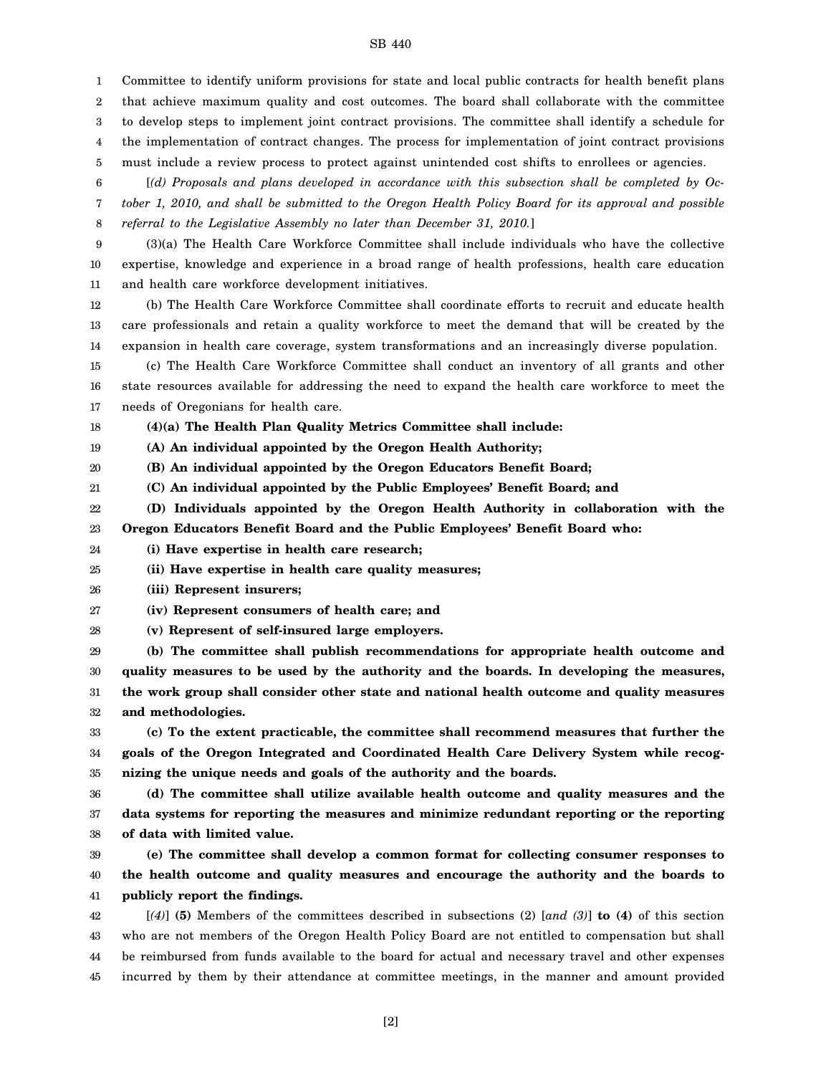1 Committee to identify uniform provisions for state and local public contracts for health benefit plans

2 that achieve maximum quality and cost outcomes. The board shall collaborate with the committee

3 to develop steps to implement joint contract provisions. The committee shall identify a schedule for

4 the implementation of contract changes. The process for implementation of joint contract provisions

5 must include a review process to protect against unintended cost shifts to enrollees or agencies.

6 7 8 [*(d) Proposals and plans developed in accordance with this subsection shall be completed by October 1, 2010, and shall be submitted to the Oregon Health Policy Board for its approval and possible referral to the Legislative Assembly no later than December 31, 2010.*]

9 10 11 (3)(a) The Health Care Workforce Committee shall include individuals who have the collective expertise, knowledge and experience in a broad range of health professions, health care education and health care workforce development initiatives.

12 13 14 (b) The Health Care Workforce Committee shall coordinate efforts to recruit and educate health care professionals and retain a quality workforce to meet the demand that will be created by the expansion in health care coverage, system transformations and an increasingly diverse population.

15 16 17 (c) The Health Care Workforce Committee shall conduct an inventory of all grants and other state resources available for addressing the need to expand the health care workforce to meet the needs of Oregonians for health care.

18 **(4)(a) The Health Plan Quality Metrics Committee shall include:**

19 **(A) An individual appointed by the Oregon Health Authority;**

20 **(B) An individual appointed by the Oregon Educators Benefit Board;**

21 **(C) An individual appointed by the Public Employees' Benefit Board; and**

22 23 **(D) Individuals appointed by the Oregon Health Authority in collaboration with the Oregon Educators Benefit Board and the Public Employees' Benefit Board who:**

24 **(i) Have expertise in health care research;**

25 **(ii) Have expertise in health care quality measures;**

26 **(iii) Represent insurers;**

27 **(iv) Represent consumers of health care; and**

28 **(v) Represent of self-insured large employers.**

29 30 31 32 **(b) The committee shall publish recommendations for appropriate health outcome and quality measures to be used by the authority and the boards. In developing the measures, the work group shall consider other state and national health outcome and quality measures and methodologies.**

33 34 35 **(c) To the extent practicable, the committee shall recommend measures that further the goals of the Oregon Integrated and Coordinated Health Care Delivery System while recognizing the unique needs and goals of the authority and the boards.**

36 37 38 **(d) The committee shall utilize available health outcome and quality measures and the data systems for reporting the measures and minimize redundant reporting or the reporting of data with limited value.**

39 40 41 **(e) The committee shall develop a common format for collecting consumer responses to the health outcome and quality measures and encourage the authority and the boards to publicly report the findings.**

42 43 44 45 [*(4)*] **(5)** Members of the committees described in subsections (2) [*and (3)*] **to (4)** of this section who are not members of the Oregon Health Policy Board are not entitled to compensation but shall be reimbursed from funds available to the board for actual and necessary travel and other expenses incurred by them by their attendance at committee meetings, in the manner and amount provided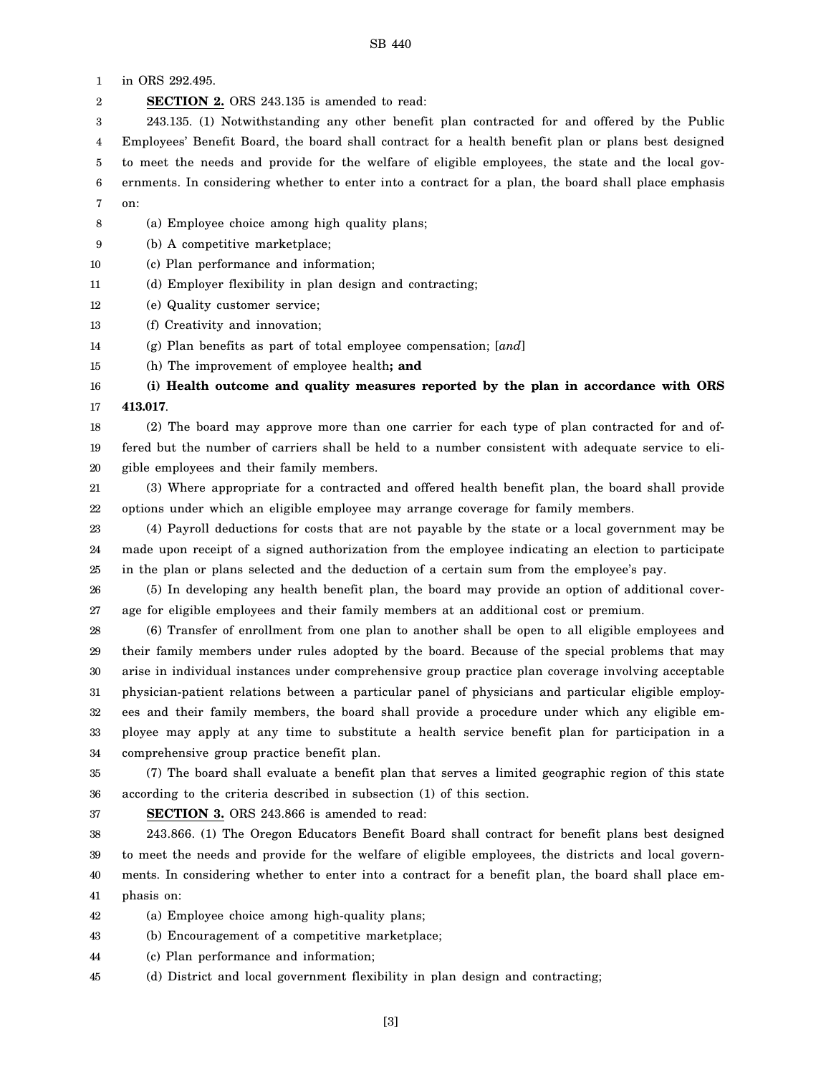1 in ORS 292.495.

2 **SECTION 2.** ORS 243.135 is amended to read:

3 4 5 6 7 243.135. (1) Notwithstanding any other benefit plan contracted for and offered by the Public Employees' Benefit Board, the board shall contract for a health benefit plan or plans best designed to meet the needs and provide for the welfare of eligible employees, the state and the local governments. In considering whether to enter into a contract for a plan, the board shall place emphasis on:

- 8 (a) Employee choice among high quality plans;
- 9 (b) A competitive marketplace;
- 10 (c) Plan performance and information;
- 11 (d) Employer flexibility in plan design and contracting;
- 12 (e) Quality customer service;
- 13 (f) Creativity and innovation;
- 14 (g) Plan benefits as part of total employee compensation; [*and*]
- 15 (h) The improvement of employee health**; and**

16 17 **(i) Health outcome and quality measures reported by the plan in accordance with ORS 413.017**.

18 19 20 (2) The board may approve more than one carrier for each type of plan contracted for and offered but the number of carriers shall be held to a number consistent with adequate service to eligible employees and their family members.

21 22 (3) Where appropriate for a contracted and offered health benefit plan, the board shall provide options under which an eligible employee may arrange coverage for family members.

23 24 25 (4) Payroll deductions for costs that are not payable by the state or a local government may be made upon receipt of a signed authorization from the employee indicating an election to participate in the plan or plans selected and the deduction of a certain sum from the employee's pay.

26 27 (5) In developing any health benefit plan, the board may provide an option of additional coverage for eligible employees and their family members at an additional cost or premium.

28 29 30 31 32 33 34 (6) Transfer of enrollment from one plan to another shall be open to all eligible employees and their family members under rules adopted by the board. Because of the special problems that may arise in individual instances under comprehensive group practice plan coverage involving acceptable physician-patient relations between a particular panel of physicians and particular eligible employees and their family members, the board shall provide a procedure under which any eligible employee may apply at any time to substitute a health service benefit plan for participation in a comprehensive group practice benefit plan.

35 36 (7) The board shall evaluate a benefit plan that serves a limited geographic region of this state according to the criteria described in subsection (1) of this section.

37

**SECTION 3.** ORS 243.866 is amended to read:

38 39 40 41 243.866. (1) The Oregon Educators Benefit Board shall contract for benefit plans best designed to meet the needs and provide for the welfare of eligible employees, the districts and local governments. In considering whether to enter into a contract for a benefit plan, the board shall place emphasis on:

42 (a) Employee choice among high-quality plans;

- 43 (b) Encouragement of a competitive marketplace;
- 44 (c) Plan performance and information;
- 45 (d) District and local government flexibility in plan design and contracting;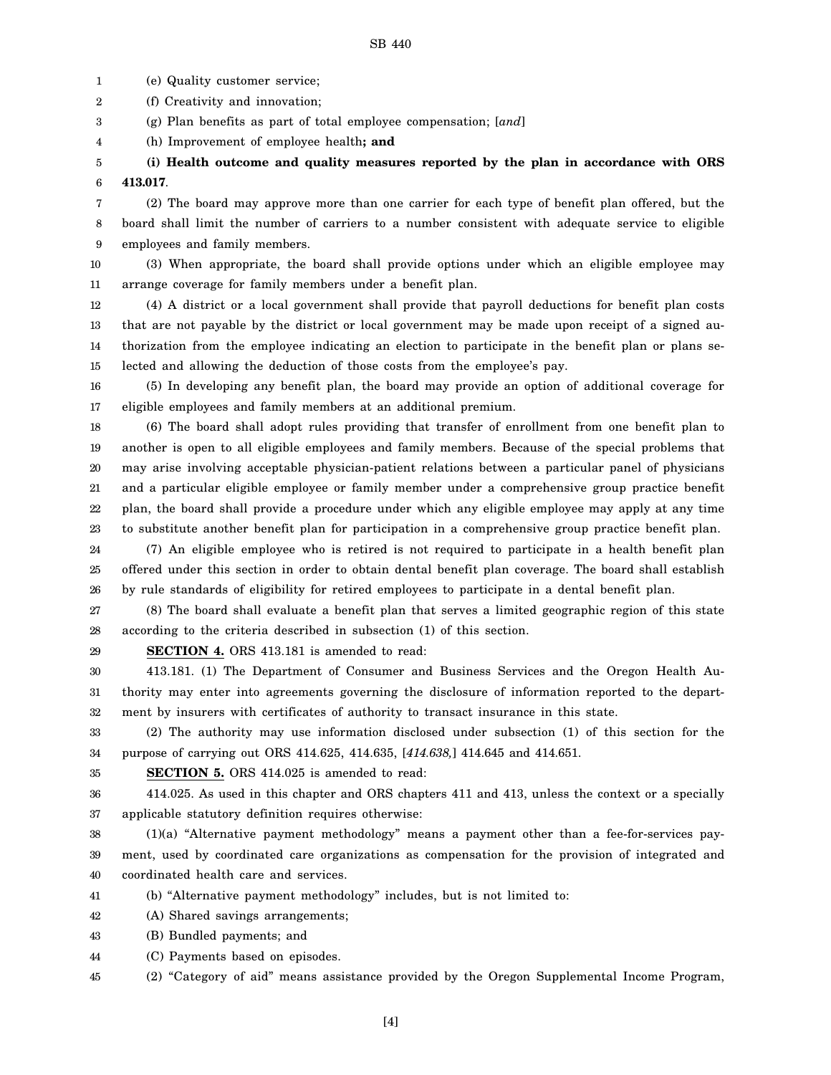1 (e) Quality customer service;

2 (f) Creativity and innovation;

3 (g) Plan benefits as part of total employee compensation; [*and*]

4 (h) Improvement of employee health**; and**

5 6 **(i) Health outcome and quality measures reported by the plan in accordance with ORS 413.017**.

7 8 9 (2) The board may approve more than one carrier for each type of benefit plan offered, but the board shall limit the number of carriers to a number consistent with adequate service to eligible employees and family members.

10 11 (3) When appropriate, the board shall provide options under which an eligible employee may arrange coverage for family members under a benefit plan.

12 13 14 15 (4) A district or a local government shall provide that payroll deductions for benefit plan costs that are not payable by the district or local government may be made upon receipt of a signed authorization from the employee indicating an election to participate in the benefit plan or plans selected and allowing the deduction of those costs from the employee's pay.

16 17 (5) In developing any benefit plan, the board may provide an option of additional coverage for eligible employees and family members at an additional premium.

18 19 20 21 22 23 (6) The board shall adopt rules providing that transfer of enrollment from one benefit plan to another is open to all eligible employees and family members. Because of the special problems that may arise involving acceptable physician-patient relations between a particular panel of physicians and a particular eligible employee or family member under a comprehensive group practice benefit plan, the board shall provide a procedure under which any eligible employee may apply at any time to substitute another benefit plan for participation in a comprehensive group practice benefit plan.

24 25 26 (7) An eligible employee who is retired is not required to participate in a health benefit plan offered under this section in order to obtain dental benefit plan coverage. The board shall establish by rule standards of eligibility for retired employees to participate in a dental benefit plan.

27 28 (8) The board shall evaluate a benefit plan that serves a limited geographic region of this state according to the criteria described in subsection (1) of this section.

29

**SECTION 4.** ORS 413.181 is amended to read:

30 31 32 413.181. (1) The Department of Consumer and Business Services and the Oregon Health Authority may enter into agreements governing the disclosure of information reported to the department by insurers with certificates of authority to transact insurance in this state.

33 34 (2) The authority may use information disclosed under subsection (1) of this section for the purpose of carrying out ORS 414.625, 414.635, [*414.638,*] 414.645 and 414.651.

35

**SECTION 5.** ORS 414.025 is amended to read:

36 37 414.025. As used in this chapter and ORS chapters 411 and 413, unless the context or a specially applicable statutory definition requires otherwise:

38 39 40 (1)(a) "Alternative payment methodology" means a payment other than a fee-for-services payment, used by coordinated care organizations as compensation for the provision of integrated and coordinated health care and services.

41 (b) "Alternative payment methodology" includes, but is not limited to:

42 (A) Shared savings arrangements;

43 (B) Bundled payments; and

44 (C) Payments based on episodes.

45 (2) "Category of aid" means assistance provided by the Oregon Supplemental Income Program,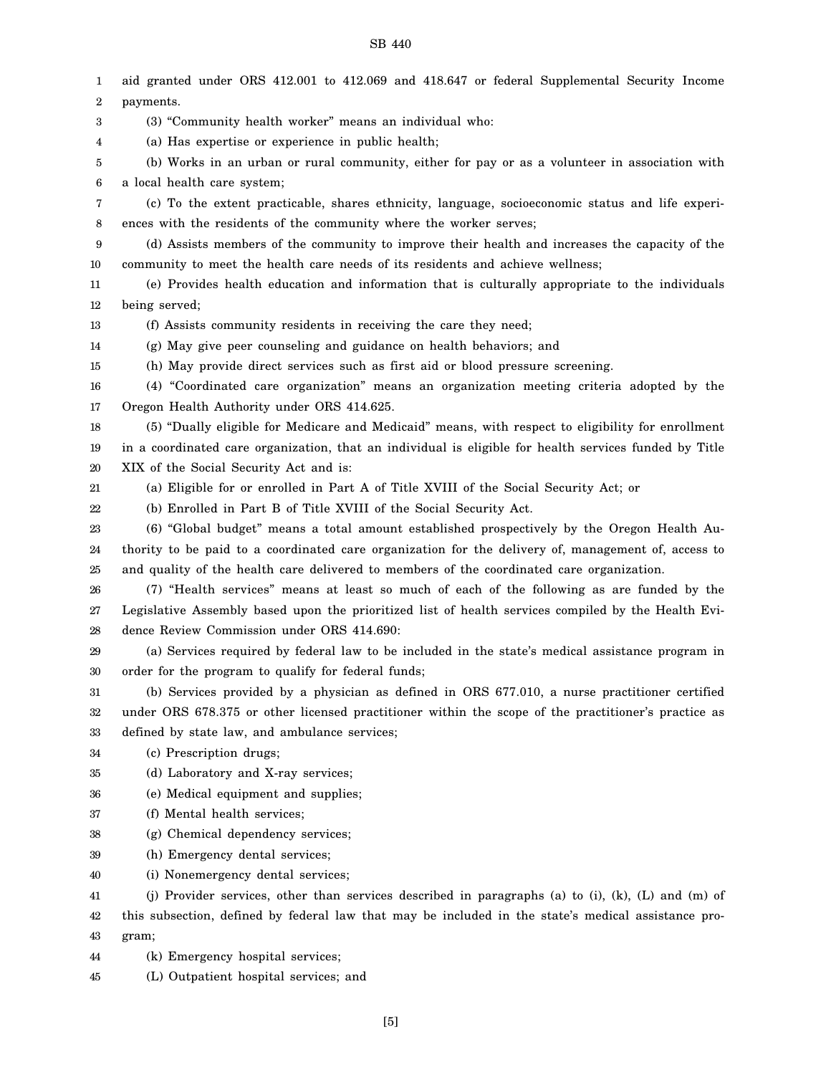1 2 3 4 5 6 7 8 9 10 11 12 13 14 15 16 17 18 19 20 21 22 23 24 25 26 27 28 29 30 31 32 33 34 35 36 37 38 39 40 41 42 43 44 aid granted under ORS 412.001 to 412.069 and 418.647 or federal Supplemental Security Income payments. (3) "Community health worker" means an individual who: (a) Has expertise or experience in public health; (b) Works in an urban or rural community, either for pay or as a volunteer in association with a local health care system; (c) To the extent practicable, shares ethnicity, language, socioeconomic status and life experiences with the residents of the community where the worker serves; (d) Assists members of the community to improve their health and increases the capacity of the community to meet the health care needs of its residents and achieve wellness; (e) Provides health education and information that is culturally appropriate to the individuals being served; (f) Assists community residents in receiving the care they need; (g) May give peer counseling and guidance on health behaviors; and (h) May provide direct services such as first aid or blood pressure screening. (4) "Coordinated care organization" means an organization meeting criteria adopted by the Oregon Health Authority under ORS 414.625. (5) "Dually eligible for Medicare and Medicaid" means, with respect to eligibility for enrollment in a coordinated care organization, that an individual is eligible for health services funded by Title XIX of the Social Security Act and is: (a) Eligible for or enrolled in Part A of Title XVIII of the Social Security Act; or (b) Enrolled in Part B of Title XVIII of the Social Security Act. (6) "Global budget" means a total amount established prospectively by the Oregon Health Authority to be paid to a coordinated care organization for the delivery of, management of, access to and quality of the health care delivered to members of the coordinated care organization. (7) "Health services" means at least so much of each of the following as are funded by the Legislative Assembly based upon the prioritized list of health services compiled by the Health Evidence Review Commission under ORS 414.690: (a) Services required by federal law to be included in the state's medical assistance program in order for the program to qualify for federal funds; (b) Services provided by a physician as defined in ORS 677.010, a nurse practitioner certified under ORS 678.375 or other licensed practitioner within the scope of the practitioner's practice as defined by state law, and ambulance services; (c) Prescription drugs; (d) Laboratory and X-ray services; (e) Medical equipment and supplies; (f) Mental health services; (g) Chemical dependency services; (h) Emergency dental services; (i) Nonemergency dental services; (j) Provider services, other than services described in paragraphs (a) to (i), (k), (L) and (m) of this subsection, defined by federal law that may be included in the state's medical assistance program; (k) Emergency hospital services;

45 (L) Outpatient hospital services; and

[5]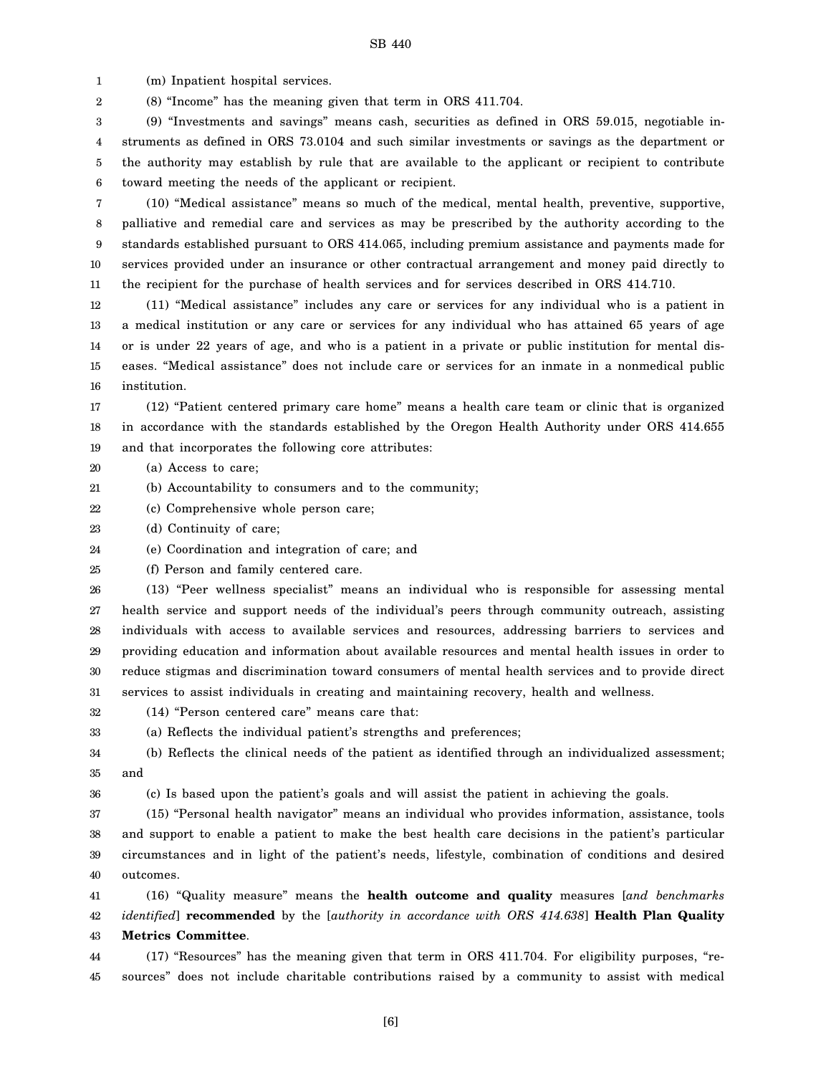1 (m) Inpatient hospital services.

2 (8) "Income" has the meaning given that term in ORS 411.704.

3 4 5 6 (9) "Investments and savings" means cash, securities as defined in ORS 59.015, negotiable instruments as defined in ORS 73.0104 and such similar investments or savings as the department or the authority may establish by rule that are available to the applicant or recipient to contribute toward meeting the needs of the applicant or recipient.

7 8 9 10 11 (10) "Medical assistance" means so much of the medical, mental health, preventive, supportive, palliative and remedial care and services as may be prescribed by the authority according to the standards established pursuant to ORS 414.065, including premium assistance and payments made for services provided under an insurance or other contractual arrangement and money paid directly to the recipient for the purchase of health services and for services described in ORS 414.710.

12 13 14 15 16 (11) "Medical assistance" includes any care or services for any individual who is a patient in a medical institution or any care or services for any individual who has attained 65 years of age or is under 22 years of age, and who is a patient in a private or public institution for mental diseases. "Medical assistance" does not include care or services for an inmate in a nonmedical public institution.

17 18 19 (12) "Patient centered primary care home" means a health care team or clinic that is organized in accordance with the standards established by the Oregon Health Authority under ORS 414.655 and that incorporates the following core attributes:

- 20 (a) Access to care;
- 21 (b) Accountability to consumers and to the community;
- 22 (c) Comprehensive whole person care;
- 23 (d) Continuity of care;

36

24 (e) Coordination and integration of care; and

25 (f) Person and family centered care.

26 27 28 29 30 31 (13) "Peer wellness specialist" means an individual who is responsible for assessing mental health service and support needs of the individual's peers through community outreach, assisting individuals with access to available services and resources, addressing barriers to services and providing education and information about available resources and mental health issues in order to reduce stigmas and discrimination toward consumers of mental health services and to provide direct services to assist individuals in creating and maintaining recovery, health and wellness.

32 (14) "Person centered care" means care that:

33 (a) Reflects the individual patient's strengths and preferences;

34 35 (b) Reflects the clinical needs of the patient as identified through an individualized assessment; and

(c) Is based upon the patient's goals and will assist the patient in achieving the goals.

37 38 39 40 (15) "Personal health navigator" means an individual who provides information, assistance, tools and support to enable a patient to make the best health care decisions in the patient's particular circumstances and in light of the patient's needs, lifestyle, combination of conditions and desired outcomes.

41 42 43 (16) "Quality measure" means the **health outcome and quality** measures [*and benchmarks identified*] **recommended** by the [*authority in accordance with ORS 414.638*] **Health Plan Quality Metrics Committee**.

44 45 (17) "Resources" has the meaning given that term in ORS 411.704. For eligibility purposes, "resources" does not include charitable contributions raised by a community to assist with medical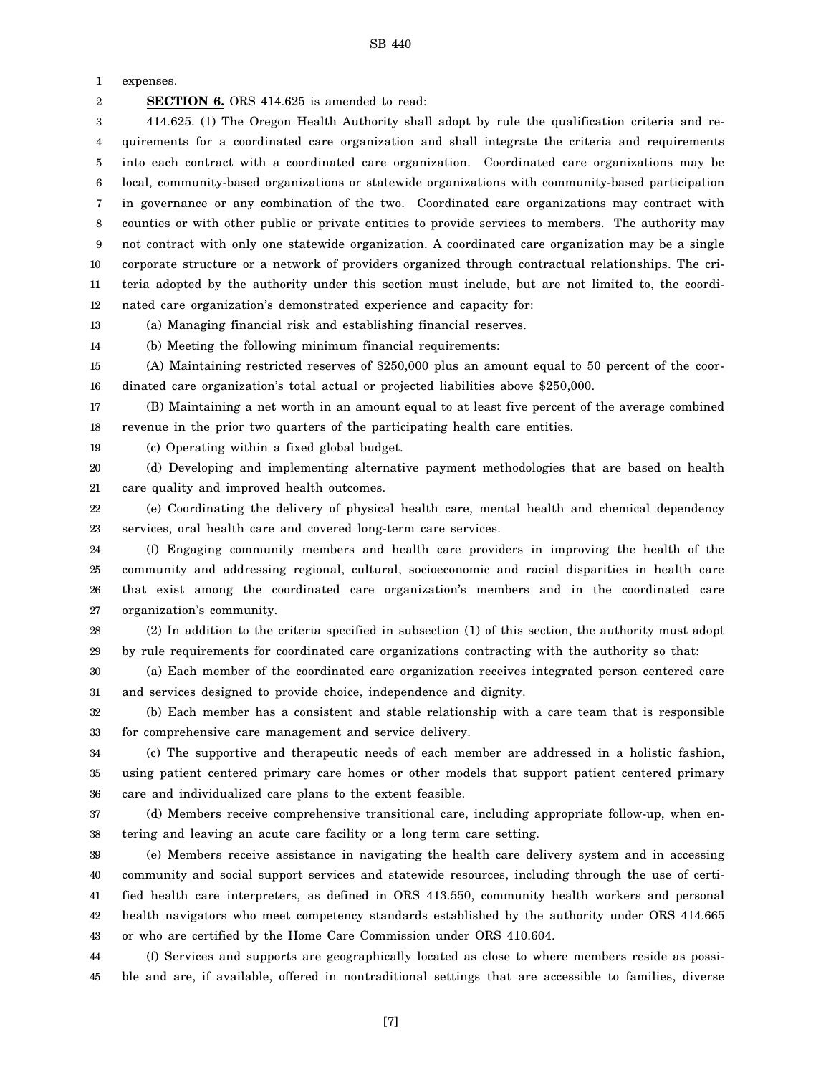1 expenses.

2

**SECTION 6.** ORS 414.625 is amended to read:

3 4 5 6 7 8 9 10 11 12 414.625. (1) The Oregon Health Authority shall adopt by rule the qualification criteria and requirements for a coordinated care organization and shall integrate the criteria and requirements into each contract with a coordinated care organization. Coordinated care organizations may be local, community-based organizations or statewide organizations with community-based participation in governance or any combination of the two. Coordinated care organizations may contract with counties or with other public or private entities to provide services to members. The authority may not contract with only one statewide organization. A coordinated care organization may be a single corporate structure or a network of providers organized through contractual relationships. The criteria adopted by the authority under this section must include, but are not limited to, the coordinated care organization's demonstrated experience and capacity for:

13 (a) Managing financial risk and establishing financial reserves.

14 (b) Meeting the following minimum financial requirements:

15 16 (A) Maintaining restricted reserves of \$250,000 plus an amount equal to 50 percent of the coordinated care organization's total actual or projected liabilities above \$250,000.

17 18 (B) Maintaining a net worth in an amount equal to at least five percent of the average combined revenue in the prior two quarters of the participating health care entities.

19 (c) Operating within a fixed global budget.

20 21 (d) Developing and implementing alternative payment methodologies that are based on health care quality and improved health outcomes.

22 23 (e) Coordinating the delivery of physical health care, mental health and chemical dependency services, oral health care and covered long-term care services.

24 25 26 27 (f) Engaging community members and health care providers in improving the health of the community and addressing regional, cultural, socioeconomic and racial disparities in health care that exist among the coordinated care organization's members and in the coordinated care organization's community.

28 29 (2) In addition to the criteria specified in subsection (1) of this section, the authority must adopt by rule requirements for coordinated care organizations contracting with the authority so that:

30 31 (a) Each member of the coordinated care organization receives integrated person centered care and services designed to provide choice, independence and dignity.

32 33 (b) Each member has a consistent and stable relationship with a care team that is responsible for comprehensive care management and service delivery.

34 35 36 (c) The supportive and therapeutic needs of each member are addressed in a holistic fashion, using patient centered primary care homes or other models that support patient centered primary care and individualized care plans to the extent feasible.

37 38 (d) Members receive comprehensive transitional care, including appropriate follow-up, when entering and leaving an acute care facility or a long term care setting.

39 40 41 42 43 (e) Members receive assistance in navigating the health care delivery system and in accessing community and social support services and statewide resources, including through the use of certified health care interpreters, as defined in ORS 413.550, community health workers and personal health navigators who meet competency standards established by the authority under ORS 414.665 or who are certified by the Home Care Commission under ORS 410.604.

44 45 (f) Services and supports are geographically located as close to where members reside as possible and are, if available, offered in nontraditional settings that are accessible to families, diverse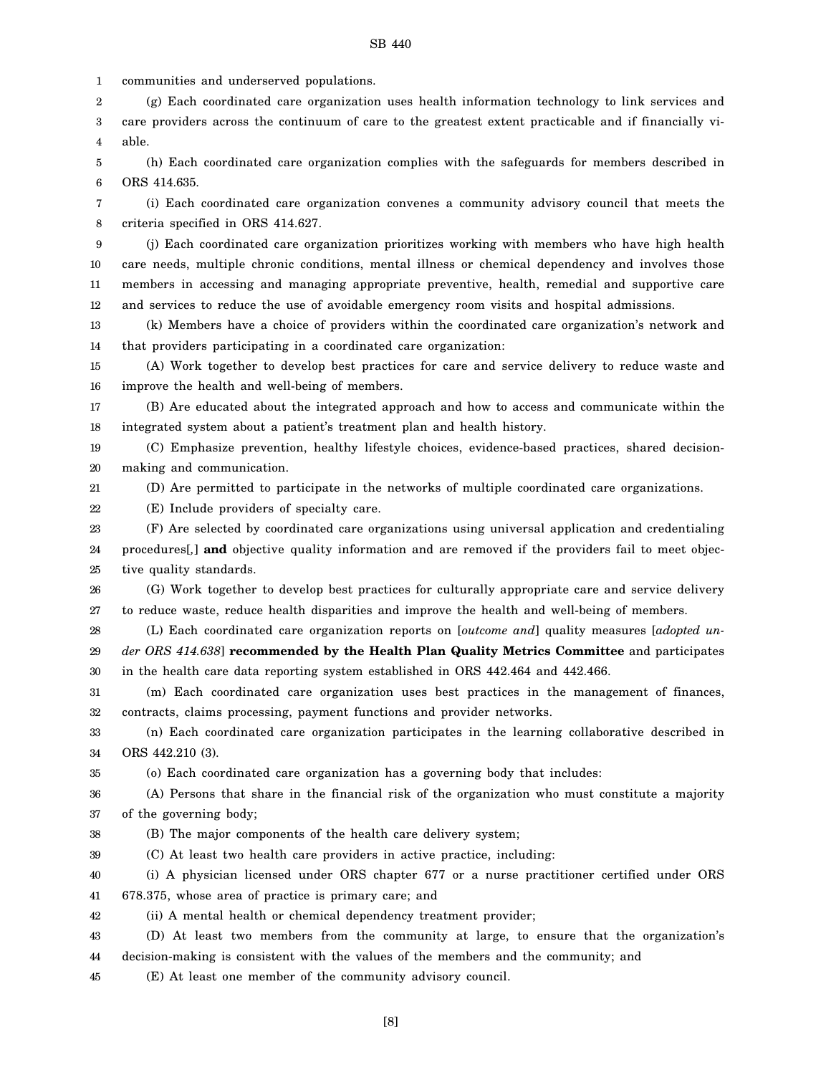1 communities and underserved populations.

2 3 4 (g) Each coordinated care organization uses health information technology to link services and care providers across the continuum of care to the greatest extent practicable and if financially viable.

5 6 (h) Each coordinated care organization complies with the safeguards for members described in ORS 414.635.

7 8 (i) Each coordinated care organization convenes a community advisory council that meets the criteria specified in ORS 414.627.

9 10 11 12 (j) Each coordinated care organization prioritizes working with members who have high health care needs, multiple chronic conditions, mental illness or chemical dependency and involves those members in accessing and managing appropriate preventive, health, remedial and supportive care and services to reduce the use of avoidable emergency room visits and hospital admissions.

13 14 (k) Members have a choice of providers within the coordinated care organization's network and that providers participating in a coordinated care organization:

15 16 (A) Work together to develop best practices for care and service delivery to reduce waste and improve the health and well-being of members.

17 18 (B) Are educated about the integrated approach and how to access and communicate within the integrated system about a patient's treatment plan and health history.

19 20 (C) Emphasize prevention, healthy lifestyle choices, evidence-based practices, shared decisionmaking and communication.

21 (D) Are permitted to participate in the networks of multiple coordinated care organizations.

22 (E) Include providers of specialty care.

23 24 25 (F) Are selected by coordinated care organizations using universal application and credentialing procedures[*,*] **and** objective quality information and are removed if the providers fail to meet objective quality standards.

26 27 (G) Work together to develop best practices for culturally appropriate care and service delivery to reduce waste, reduce health disparities and improve the health and well-being of members.

28 29 30 (L) Each coordinated care organization reports on [*outcome and*] quality measures [*adopted under ORS 414.638*] **recommended by the Health Plan Quality Metrics Committee** and participates in the health care data reporting system established in ORS 442.464 and 442.466.

31 32 (m) Each coordinated care organization uses best practices in the management of finances, contracts, claims processing, payment functions and provider networks.

33 34 (n) Each coordinated care organization participates in the learning collaborative described in ORS 442.210 (3).

35 (o) Each coordinated care organization has a governing body that includes:

36 37 (A) Persons that share in the financial risk of the organization who must constitute a majority of the governing body;

38 (B) The major components of the health care delivery system;

39 (C) At least two health care providers in active practice, including:

40 41 (i) A physician licensed under ORS chapter 677 or a nurse practitioner certified under ORS 678.375, whose area of practice is primary care; and

42 (ii) A mental health or chemical dependency treatment provider;

43 44 (D) At least two members from the community at large, to ensure that the organization's decision-making is consistent with the values of the members and the community; and

45 (E) At least one member of the community advisory council.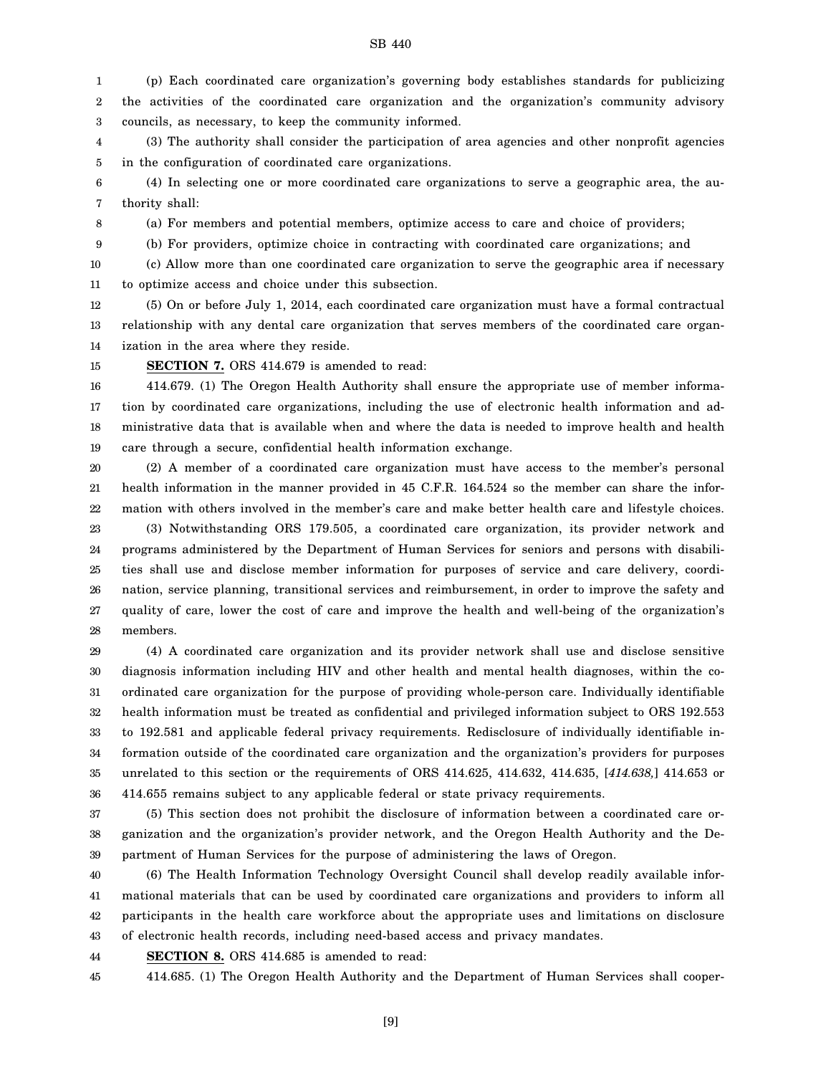1 2 3 (p) Each coordinated care organization's governing body establishes standards for publicizing the activities of the coordinated care organization and the organization's community advisory councils, as necessary, to keep the community informed.

4 5 (3) The authority shall consider the participation of area agencies and other nonprofit agencies in the configuration of coordinated care organizations.

6 7 (4) In selecting one or more coordinated care organizations to serve a geographic area, the authority shall:

8

(a) For members and potential members, optimize access to care and choice of providers;

9 (b) For providers, optimize choice in contracting with coordinated care organizations; and

10 11 (c) Allow more than one coordinated care organization to serve the geographic area if necessary to optimize access and choice under this subsection.

12 13 14 (5) On or before July 1, 2014, each coordinated care organization must have a formal contractual relationship with any dental care organization that serves members of the coordinated care organization in the area where they reside.

15

**SECTION 7.** ORS 414.679 is amended to read:

16 17 18 19 414.679. (1) The Oregon Health Authority shall ensure the appropriate use of member information by coordinated care organizations, including the use of electronic health information and administrative data that is available when and where the data is needed to improve health and health care through a secure, confidential health information exchange.

20 21 22 23 24 25 26 27 28 (2) A member of a coordinated care organization must have access to the member's personal health information in the manner provided in 45 C.F.R. 164.524 so the member can share the information with others involved in the member's care and make better health care and lifestyle choices. (3) Notwithstanding ORS 179.505, a coordinated care organization, its provider network and programs administered by the Department of Human Services for seniors and persons with disabilities shall use and disclose member information for purposes of service and care delivery, coordination, service planning, transitional services and reimbursement, in order to improve the safety and quality of care, lower the cost of care and improve the health and well-being of the organization's members.

29 30 31 32 33 34 35 36 (4) A coordinated care organization and its provider network shall use and disclose sensitive diagnosis information including HIV and other health and mental health diagnoses, within the coordinated care organization for the purpose of providing whole-person care. Individually identifiable health information must be treated as confidential and privileged information subject to ORS 192.553 to 192.581 and applicable federal privacy requirements. Redisclosure of individually identifiable information outside of the coordinated care organization and the organization's providers for purposes unrelated to this section or the requirements of ORS 414.625, 414.632, 414.635, [*414.638,*] 414.653 or 414.655 remains subject to any applicable federal or state privacy requirements.

37 38 39 (5) This section does not prohibit the disclosure of information between a coordinated care organization and the organization's provider network, and the Oregon Health Authority and the Department of Human Services for the purpose of administering the laws of Oregon.

40 41 42 43 (6) The Health Information Technology Oversight Council shall develop readily available informational materials that can be used by coordinated care organizations and providers to inform all participants in the health care workforce about the appropriate uses and limitations on disclosure of electronic health records, including need-based access and privacy mandates.

44 **SECTION 8.** ORS 414.685 is amended to read:

45 414.685. (1) The Oregon Health Authority and the Department of Human Services shall cooper-